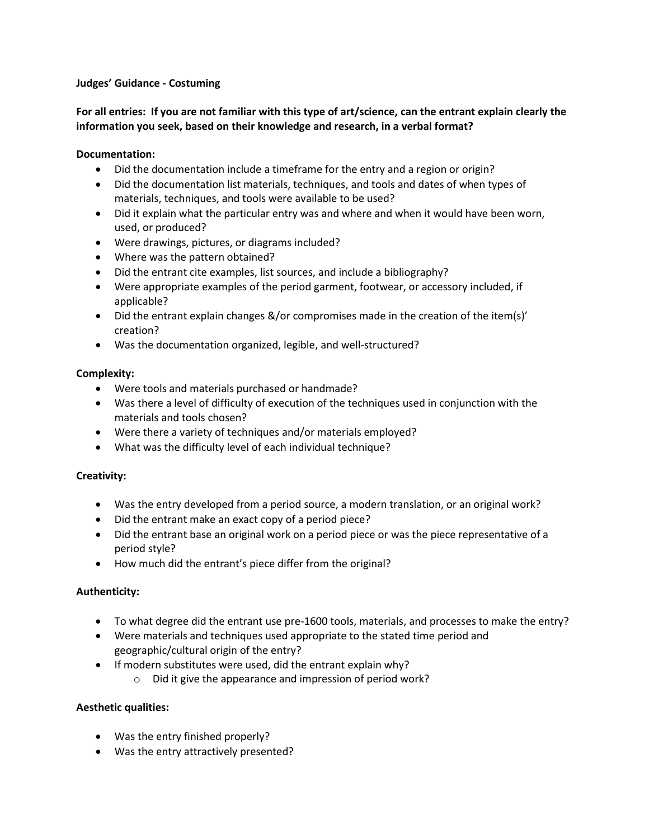## **Judges' Guidance - Costuming**

# **For all entries: If you are not familiar with this type of art/science, can the entrant explain clearly the information you seek, based on their knowledge and research, in a verbal format?**

## **Documentation:**

- Did the documentation include a timeframe for the entry and a region or origin?
- Did the documentation list materials, techniques, and tools and dates of when types of materials, techniques, and tools were available to be used?
- Did it explain what the particular entry was and where and when it would have been worn, used, or produced?
- Were drawings, pictures, or diagrams included?
- Where was the pattern obtained?
- Did the entrant cite examples, list sources, and include a bibliography?
- Were appropriate examples of the period garment, footwear, or accessory included, if applicable?
- Did the entrant explain changes &/or compromises made in the creation of the item(s)' creation?
- Was the documentation organized, legible, and well-structured?

## **Complexity:**

- Were tools and materials purchased or handmade?
- Was there a level of difficulty of execution of the techniques used in conjunction with the materials and tools chosen?
- Were there a variety of techniques and/or materials employed?
- What was the difficulty level of each individual technique?

## **Creativity:**

- Was the entry developed from a period source, a modern translation, or an original work?
- Did the entrant make an exact copy of a period piece?
- Did the entrant base an original work on a period piece or was the piece representative of a period style?
- How much did the entrant's piece differ from the original?

## **Authenticity:**

- To what degree did the entrant use pre-1600 tools, materials, and processes to make the entry?
- Were materials and techniques used appropriate to the stated time period and geographic/cultural origin of the entry?
- If modern substitutes were used, did the entrant explain why?
	- o Did it give the appearance and impression of period work?

## **Aesthetic qualities:**

- Was the entry finished properly?
- Was the entry attractively presented?